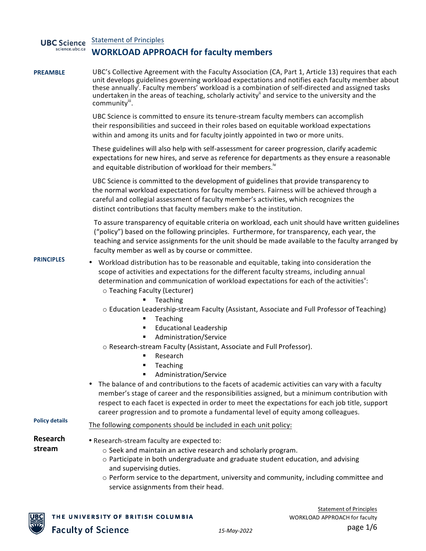| <b>UBC</b> Science<br>science.ubc.ca | <b>Statement of Principles</b>                                                                                                                                                                                                                                                                                                                                                                                             |
|--------------------------------------|----------------------------------------------------------------------------------------------------------------------------------------------------------------------------------------------------------------------------------------------------------------------------------------------------------------------------------------------------------------------------------------------------------------------------|
|                                      | <b>WORKLOAD APPROACH for faculty members</b>                                                                                                                                                                                                                                                                                                                                                                               |
| <b>PREAMBLE</b>                      | UBC's Collective Agreement with the Faculty Association (CA, Part 1, Article 13) requires that each<br>unit develops guidelines governing workload expectations and notifies each faculty member about<br>these annually'. Faculty members' workload is a combination of self-directed and assigned tasks<br>undertaken in the areas of teaching, scholarly activity" and service to the university and the<br>community". |
|                                      | UBC Science is committed to ensure its tenure-stream faculty members can accomplish<br>their responsibilities and succeed in their roles based on equitable workload expectations<br>within and among its units and for faculty jointly appointed in two or more units.                                                                                                                                                    |
|                                      | These guidelines will also help with self-assessment for career progression, clarify academic<br>expectations for new hires, and serve as reference for departments as they ensure a reasonable<br>and equitable distribution of workload for their members."                                                                                                                                                              |
|                                      | UBC Science is committed to the development of guidelines that provide transparency to<br>the normal workload expectations for faculty members. Fairness will be achieved through a<br>careful and collegial assessment of faculty member's activities, which recognizes the<br>distinct contributions that faculty members make to the institution.                                                                       |
|                                      | To assure transparency of equitable criteria on workload, each unit should have written guidelines<br>("policy") based on the following principles. Furthermore, for transparency, each year, the<br>teaching and service assignments for the unit should be made available to the faculty arranged by<br>faculty member as well as by course or committee.                                                                |
| <b>PRINCIPLES</b>                    | • Workload distribution has to be reasonable and equitable, taking into consideration the<br>scope of activities and expectations for the different faculty streams, including annual<br>determination and communication of workload expectations for each of the activities":<br>o Teaching Faculty (Lecturer)<br>Teaching                                                                                                |
|                                      | o Education Leadership-stream Faculty (Assistant, Associate and Full Professor of Teaching)<br>Teaching<br>٠<br><b>Educational Leadership</b>                                                                                                                                                                                                                                                                              |
|                                      | Administration/Service<br>٠<br>o Research-stream Faculty (Assistant, Associate and Full Professor).<br>Research<br>٠<br>Teaching                                                                                                                                                                                                                                                                                           |
|                                      | Administration/Service<br>The balance of and contributions to the facets of academic activities can vary with a faculty<br>member's stage of career and the responsibilities assigned, but a minimum contribution with<br>respect to each facet is expected in order to meet the expectations for each job title, support<br>career progression and to promote a fundamental level of equity among colleagues.             |
| <b>Policy details</b>                | The following components should be included in each unit policy:                                                                                                                                                                                                                                                                                                                                                           |
| Research<br>stream                   | • Research-stream faculty are expected to:<br>o Seek and maintain an active research and scholarly program.<br>$\circ$ Participate in both undergraduate and graduate student education, and advising<br>and supervising duties.                                                                                                                                                                                           |
|                                      |                                                                                                                                                                                                                                                                                                                                                                                                                            |

 $\circ$  Perform service to the department, university and community, including committee and service assignments from their head.

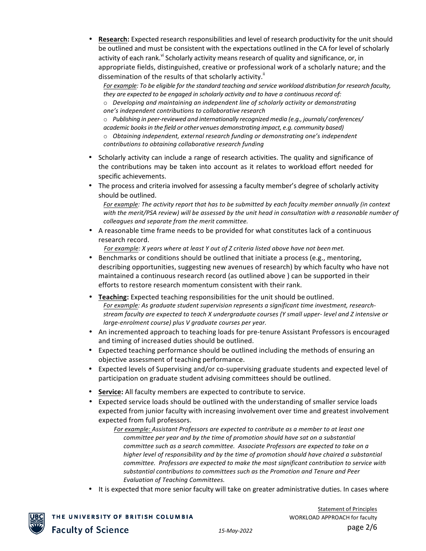**Research:** Expected research responsibilities and level of research productivity for the unit should be outlined and must be consistent with the expectations outlined in the CA for level of scholarly activity of each rank.<sup>vi</sup> Scholarly activity means research of quality and significance, or, in appropriate fields, distinguished, creative or professional work of a scholarly nature; and the dissemination of the results of that scholarly activity.<sup>ii</sup>

For example: To be eligible for the standard teaching and service workload distribution for research faculty, *they are expected to be engaged in scholarly activity and to have a continuous record of:* 

 $\circ$  *Developing and maintaining an independent line of scholarly activity or demonstrating one's independent contributions to collaborative research*

o *Publishing in peer-reviewed and internationally recognized media (e.g., journals/ conferences/ academic booksin the field or other venues demonstrating impact, e.g. community based)*  $\circ$  *Obtaining independent, external research funding or demonstrating one's independent contributions to obtaining collaborative research funding*

- Scholarly activity can include a range of research activities. The quality and significance of the contributions may be taken into account as it relates to workload effort needed for specific achievements.
- The process and criteria involved for assessing a faculty member's degree of scholarly activity should be outlined.

For example: The activity report that has to be submitted by each faculty member annually (in context with the merit/PSA review) will be assessed by the unit head in consultation with a reasonable number of colleagues and separate from the merit committee.

• A reasonable time frame needs to be provided for what constitutes lack of a continuous research record.

*For example: X* years where at least Y out of Z criteria listed above have not been met.

- Benchmarks or conditions should be outlined that initiate a process (e.g., mentoring, describing opportunities, suggesting new avenues of research) by which faculty who have not maintained a continuous research record (as outlined above) can be supported in their efforts to restore research momentum consistent with their rank.
- **Teaching:** Expected teaching responsibilities for the unit should be outlined. For example: As graduate student supervision represents a significant time investment, researchstream faculty are expected to teach X undergraduate courses (Y small upper- level and Z intensive or *large-enrolment course)* plus *V* graduate courses per year.
- An incremented approach to teaching loads for pre-tenure Assistant Professors is encouraged and timing of increased duties should be outlined.
- Expected teaching performance should be outlined including the methods of ensuring an objective assessment of teaching performance.
- Expected levels of Supervising and/or co-supervising graduate students and expected level of participation on graduate student advising committees should be outlined.
- Service: All faculty members are expected to contribute to service.
- Expected service loads should be outlined with the understanding of smaller service loads expected from junior faculty with increasing involvement over time and greatest involvement expected from full professors.

For example: Assistant Professors are expected to contribute as a member to at least one *committee per year and by the time of promotion should have sat on a substantial committee such as a search committee. Associate Professors are expected to take on a* higher level of responsibility and by the time of promotion should have chaired a substantial *committee. Professors are expected to make the most significant contribution to service with* substantial contributions to committees such as the Promotion and Tenure and Peer *Evaluation of Teaching Committees.*

It is expected that more senior faculty will take on greater administrative duties. In cases where

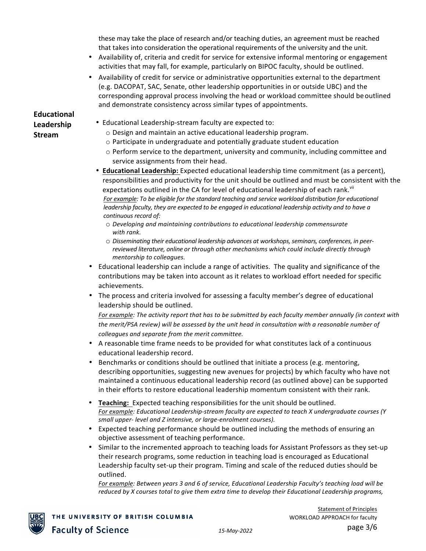these may take the place of research and/or teaching duties, an agreement must be reached that takes into consideration the operational requirements of the university and the unit.

- Availability of, criteria and credit for service for extensive informal mentoring or engagement activities that may fall, for example, particularly on BIPOC faculty, should be outlined.
- Availability of credit for service or administrative opportunities external to the department (e.g. DACOPAT, SAC, Senate, other leadership opportunities in or outside UBC) and the corresponding approval process involving the head or workload committee should be outlined and demonstrate consistency across similar types of appointments.

## **Educational Leadership Stream**

- Educational Leadership-stream faculty are expected to:
	- o Design and maintain an active educational leadership program.
	- $\circ$  Participate in undergraduate and potentially graduate student education
	- $\circ$  Perform service to the department, university and community, including committee and service assignments from their head.
- **Educational Leadership:** Expected educational leadership time commitment (as a percent), responsibilities and productivity for the unit should be outlined and must be consistent with the expectations outlined in the CA for level of educational leadership of each rank.<sup>VII</sup> For example: To be eligible for the standard teaching and service workload distribution for educational *leadership* faculty, they are expected to be engaged in educational leadership activity and to have a *continuous record of:*
	- o *Developing and maintaining contributions to educational leadership commensurate with rank.*
	- $\circ$  Disseminating their educational leadership advances at workshops, seminars, conferences, in peerreviewed literature, online or through other mechanisms which could include directly through *mentorship to colleagues.*
- Educational leadership can include a range of activities. The quality and significance of the contributions may be taken into account as it relates to workload effort needed for specific achievements.
- The process and criteria involved for assessing a faculty member's degree of educational leadership should be outlined.

For example: The activity report that has to be submitted by each faculty member annually (in context with the merit/PSA review) will be assessed by the unit head in consultation with a reasonable number of *colleagues and separate from the merit committee.*

- A reasonable time frame needs to be provided for what constitutes lack of a continuous educational leadership record.
- Benchmarks or conditions should be outlined that initiate a process (e.g. mentoring, describing opportunities, suggesting new avenues for projects) by which faculty who have not maintained a continuous educational leadership record (as outlined above) can be supported in their efforts to restore educational leadership momentum consistent with their rank.
- **Teaching:** Expected teaching responsibilities for the unit should be outlined. For example: Educational Leadership-stream faculty are expected to teach X undergraduate courses (Y small upper- level and *Z* intensive, or large-enrolment courses).
- Expected teaching performance should be outlined including the methods of ensuring an objective assessment of teaching performance.
- Similar to the incremented approach to teaching loads for Assistant Professors as they set-up their research programs, some reduction in teaching load is encouraged as Educational Leadership faculty set-up their program. Timing and scale of the reduced duties should be outlined.

For example: Between years 3 and 6 of service, Educational Leadership Faculty's teaching load will be *reduced* by X courses total to give them extra time to develop their Educational Leadership programs,

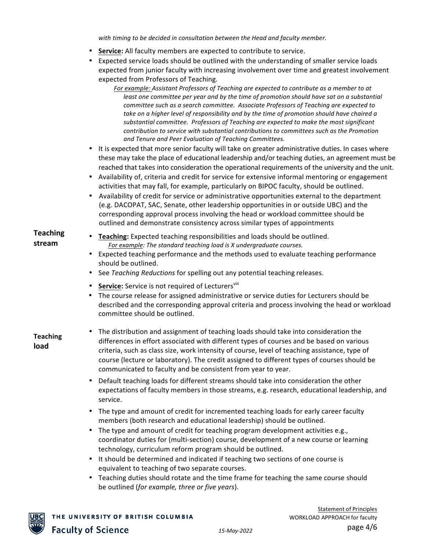with *timing* to be decided in consultation between the Head and faculty member.

- **Service:** All faculty members are expected to contribute to service.
- Expected service loads should be outlined with the understanding of smaller service loads expected from junior faculty with increasing involvement over time and greatest involvement expected from Professors of Teaching.
	- *For example:* Assistant Professors of Teaching are expected to contribute as a member to at *least* one committee per year and by the time of promotion should have sat on a substantial *committee such as a search committee. Associate Professors of Teaching are expected to* take on a higher level of responsibility and by the time of promotion should have chaired a substantial committee. Professors of Teaching are expected to make the most significant *contribution to service with substantial contributions to committees such as the Promotion and Tenure and Peer Evaluation of Teaching Committees.*
- It is expected that more senior faculty will take on greater administrative duties. In cases where these may take the place of educational leadership and/or teaching duties, an agreement must be reached that takes into consideration the operational requirements of the university and the unit.
- Availability of, criteria and credit for service for extensive informal mentoring or engagement activities that may fall, for example, particularly on BIPOC faculty, should be outlined.
- Availability of credit for service or administrative opportunities external to the department (e.g. DACOPAT, SAC, Senate, other leadership opportunities in or outside UBC) and the corresponding approval process involving the head or workload committee should be outlined and demonstrate consistency across similar types of appointments

# **Teaching**

- **i eaching Teaching:** Expected teaching responsibilities and loads should be outlined.<br>**stream For example:** The standard teaching load is *X* undergraduate courses For example: The standard teaching load is X undergraduate courses.
	- Expected teaching performance and the methods used to evaluate teaching performance should be outlined.
	- See *Teaching Reductions* for spelling out any potential teaching releases.
	- **Service:** Service is not required of Lecturers<sup>viii</sup>
	- The course release for assigned administrative or service duties for Lecturers should be described and the corresponding approval criteria and process involving the head or workload committee should be outlined.

## **Teaching load**

- The distribution and assignment of teaching loads should take into consideration the differences in effort associated with different types of courses and be based on various criteria, such as class size, work intensity of course, level of teaching assistance, type of course (lecture or laboratory). The credit assigned to different types of courses should be communicated to faculty and be consistent from year to year.
	- Default teaching loads for different streams should take into consideration the other expectations of faculty members in those streams, e.g. research, educational leadership, and service.
	- The type and amount of credit for incremented teaching loads for early career faculty members (both research and educational leadership) should be outlined.
	- The type and amount of credit for teaching program development activities e.g., coordinator duties for (multi-section) course, development of a new course or learning technology, curriculum reform program should be outlined.
	- It should be determined and indicated if teaching two sections of one course is equivalent to teaching of two separate courses.
	- Teaching duties should rotate and the time frame for teaching the same course should be outlined (*for example, three or five years*).

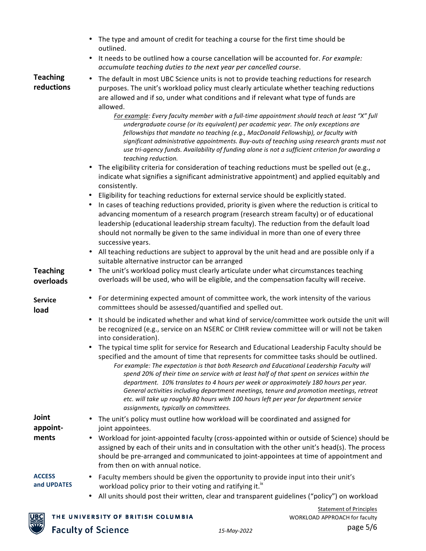| • The type and amount of credit for teaching a course for the first time should be |
|------------------------------------------------------------------------------------|
| outlined.                                                                          |

• It needs to be outlined how a course cancellation will be accounted for. *For example: accumulate teaching duties to the next year per cancelled course*.

### **Teaching reductions**

• The default in most UBC Science units is not to provide teaching reductions for research purposes. The unit's workload policy must clearly articulate whether teaching reductions are allowed and if so, under what conditions and if relevant what type of funds are allowed.

For example: Every faculty member with a full-time appointment should teach at least "X" full *undergraduate course (or its equivalent)* per academic year. The only exceptions are *fellowships that mandate no teaching (e.g., MacDonald Fellowship), or faculty with* significant administrative appointments. Buy-outs of teaching using research grants must not use tri-agency funds. Availability of funding alone is not a sufficient criterion for awarding a *teaching reduction.*

- The eligibility criteria for consideration of teaching reductions must be spelled out (e.g., indicate what signifies a significant administrative appointment) and applied equitably and consistently.
- Eligibility for teaching reductions for external service should be explicitly stated.
- In cases of teaching reductions provided, priority is given where the reduction is critical to advancing momentum of a research program (research stream faculty) or of educational leadership (educational leadership stream faculty). The reduction from the default load should not normally be given to the same individual in more than one of every three successive years.
- All teaching reductions are subject to approval by the unit head and are possible only if a suitable alternative instructor can be arranged
- **Teaching overloads** • The unit's workload policy must clearly articulate under what circumstances teaching overloads will be used, who will be eligible, and the compensation faculty will receive.
- **Service load**
- For determining expected amount of committee work, the work intensity of the various committees should be assessed/quantified and spelled out.
- It should be indicated whether and what kind of service/committee work outside the unit will be recognized (e.g., service on an NSERC or CIHR review committee will or will not be taken into consideration).
- The typical time split for service for Research and Educational Leadership Faculty should be specified and the amount of time that represents for committee tasks should be outlined.
	- For example: The expectation is that both Research and Educational Leadership Faculty will spend 20% of their time on service with at least half of that spent on services within the *department. 10% translates to 4 hours per week or approximately 180 hours per year.* General activities including department meetings, tenure and promotion meetings, retreat etc. will take up roughly 80 hours with 100 hours left per year for department service *assignments, typically on committees.*

**Joint appointments**

- The unit's policy must outline how workload will be coordinated and assigned for joint appointees.
- Workload for joint-appointed faculty (cross-appointed within or outside of Science) should be assigned by each of their units and in consultation with the other unit's head(s). The process should be pre-arranged and communicated to joint-appointees at time of appointment and from then on with annual notice.

#### **ACCESS and UPDATES**

- Faculty members should be given the opportunity to provide input into their unit's workload policy prior to their voting and ratifying it.<sup>ix</sup>
- All units should post their written, clear and transparent guidelines ("policy") on workload